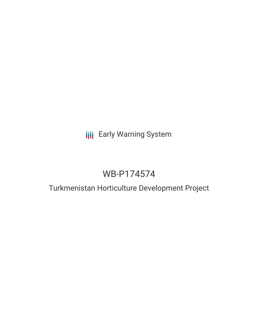# **III** Early Warning System

# WB-P174574

## Turkmenistan Horticulture Development Project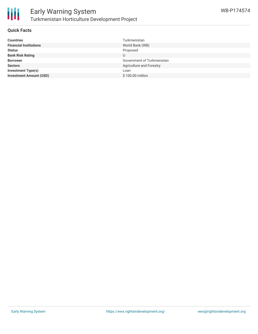

### **Quick Facts**

| <b>Countries</b>               | Turkmenistan                    |
|--------------------------------|---------------------------------|
| <b>Financial Institutions</b>  | World Bank (WB)                 |
| <b>Status</b>                  | Proposed                        |
| <b>Bank Risk Rating</b>        | U                               |
| <b>Borrower</b>                | Government of Turkmenistan      |
| <b>Sectors</b>                 | <b>Agriculture and Forestry</b> |
| <b>Investment Type(s)</b>      | Loan                            |
| <b>Investment Amount (USD)</b> | \$100.00 million                |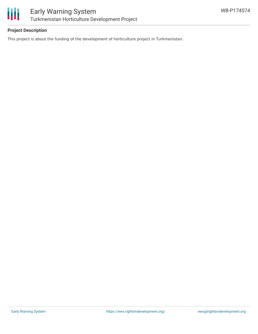

### **Project Description**

This project is about the funding of the development of horticulture project in Turkmenistan.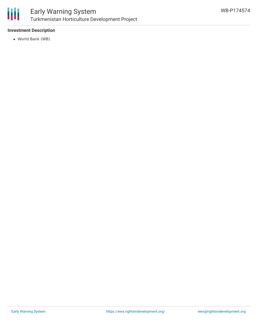

### Early Warning System Turkmenistan Horticulture Development Project

### **Investment Description**

World Bank (WB)